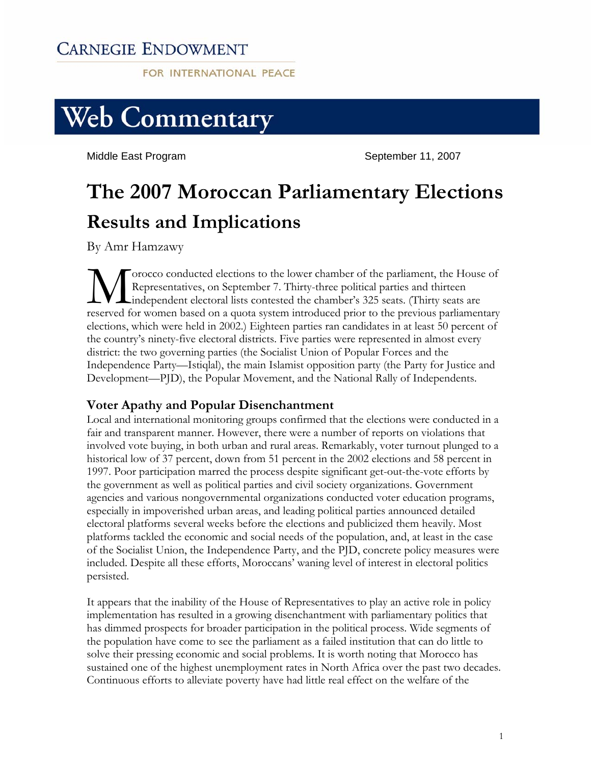## **CARNEGIE ENDOWMENT**

**FOR INTERNATIONAL PEACE** 



Middle East Program Number 2007 September 11, 2007

# **The 2007 Moroccan Parliamentary Elections Results and Implications**

By Amr Hamzawy

orocco conducted elections to the lower chamber of the parliament, the House of Representatives, on September 7. Thirty-three political parties and thirteen independent electoral lists contested the chamber's 325 seats. (Thirty seats are reserved for women based on a quota system introduced prior to the previous parliamentary elections, which were held in 2002.) Eighteen parties ran candidates in at least 50 percent of the country's ninety-five electoral districts. Five parties were represented in almost every district: the two governing parties (the Socialist Union of Popular Forces and the Independence Party—Istiqlal), the main Islamist opposition party (the Party for Justice and Development—PJD), the Popular Movement, and the National Rally of Independents.  $\sum_{\text{reseaved for } }$ 

### **Voter Apathy and Popular Disenchantment**

Local and international monitoring groups confirmed that the elections were conducted in a fair and transparent manner. However, there were a number of reports on violations that involved vote buying, in both urban and rural areas. Remarkably, voter turnout plunged to a historical low of 37 percent, down from 51 percent in the 2002 elections and 58 percent in 1997. Poor participation marred the process despite significant get-out-the-vote efforts by the government as well as political parties and civil society organizations. Government agencies and various nongovernmental organizations conducted voter education programs, especially in impoverished urban areas, and leading political parties announced detailed electoral platforms several weeks before the elections and publicized them heavily. Most platforms tackled the economic and social needs of the population, and, at least in the case of the Socialist Union, the Independence Party, and the PJD, concrete policy measures were included. Despite all these efforts, Moroccans' waning level of interest in electoral politics persisted.

It appears that the inability of the House of Representatives to play an active role in policy implementation has resulted in a growing disenchantment with parliamentary politics that has dimmed prospects for broader participation in the political process. Wide segments of the population have come to see the parliament as a failed institution that can do little to solve their pressing economic and social problems. It is worth noting that Morocco has sustained one of the highest unemployment rates in North Africa over the past two decades. Continuous efforts to alleviate poverty have had little real effect on the welfare of the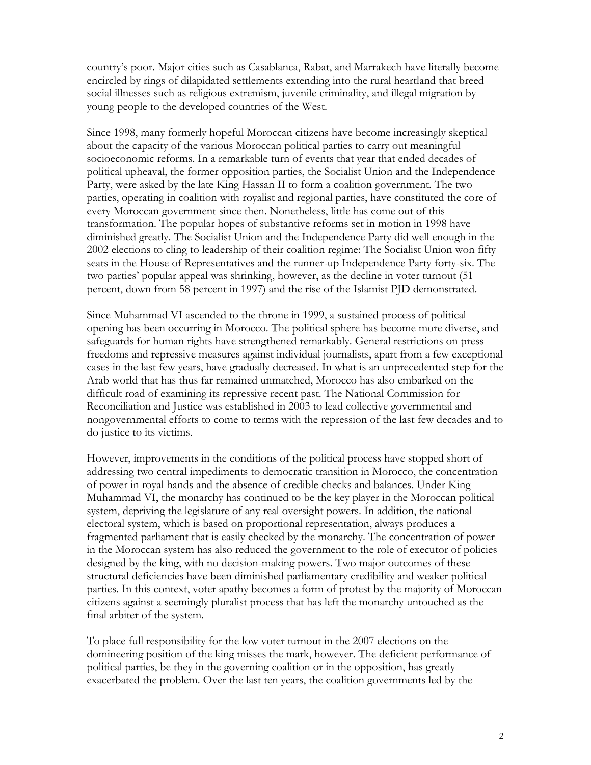country's poor. Major cities such as Casablanca, Rabat, and Marrakech have literally become encircled by rings of dilapidated settlements extending into the rural heartland that breed social illnesses such as religious extremism, juvenile criminality, and illegal migration by young people to the developed countries of the West.

Since 1998, many formerly hopeful Moroccan citizens have become increasingly skeptical about the capacity of the various Moroccan political parties to carry out meaningful socioeconomic reforms. In a remarkable turn of events that year that ended decades of political upheaval, the former opposition parties, the Socialist Union and the Independence Party, were asked by the late King Hassan II to form a coalition government. The two parties, operating in coalition with royalist and regional parties, have constituted the core of every Moroccan government since then. Nonetheless, little has come out of this transformation. The popular hopes of substantive reforms set in motion in 1998 have diminished greatly. The Socialist Union and the Independence Party did well enough in the 2002 elections to cling to leadership of their coalition regime: The Socialist Union won fifty seats in the House of Representatives and the runner-up Independence Party forty-six. The two parties' popular appeal was shrinking, however, as the decline in voter turnout (51 percent, down from 58 percent in 1997) and the rise of the Islamist PJD demonstrated.

Since Muhammad VI ascended to the throne in 1999, a sustained process of political opening has been occurring in Morocco. The political sphere has become more diverse, and safeguards for human rights have strengthened remarkably. General restrictions on press freedoms and repressive measures against individual journalists, apart from a few exceptional cases in the last few years, have gradually decreased. In what is an unprecedented step for the Arab world that has thus far remained unmatched, Morocco has also embarked on the difficult road of examining its repressive recent past. The National Commission for Reconciliation and Justice was established in 2003 to lead collective governmental and nongovernmental efforts to come to terms with the repression of the last few decades and to do justice to its victims.

However, improvements in the conditions of the political process have stopped short of addressing two central impediments to democratic transition in Morocco, the concentration of power in royal hands and the absence of credible checks and balances. Under King Muhammad VI, the monarchy has continued to be the key player in the Moroccan political system, depriving the legislature of any real oversight powers. In addition, the national electoral system, which is based on proportional representation, always produces a fragmented parliament that is easily checked by the monarchy. The concentration of power in the Moroccan system has also reduced the government to the role of executor of policies designed by the king, with no decision-making powers. Two major outcomes of these structural deficiencies have been diminished parliamentary credibility and weaker political parties. In this context, voter apathy becomes a form of protest by the majority of Moroccan citizens against a seemingly pluralist process that has left the monarchy untouched as the final arbiter of the system.

To place full responsibility for the low voter turnout in the 2007 elections on the domineering position of the king misses the mark, however. The deficient performance of political parties, be they in the governing coalition or in the opposition, has greatly exacerbated the problem. Over the last ten years, the coalition governments led by the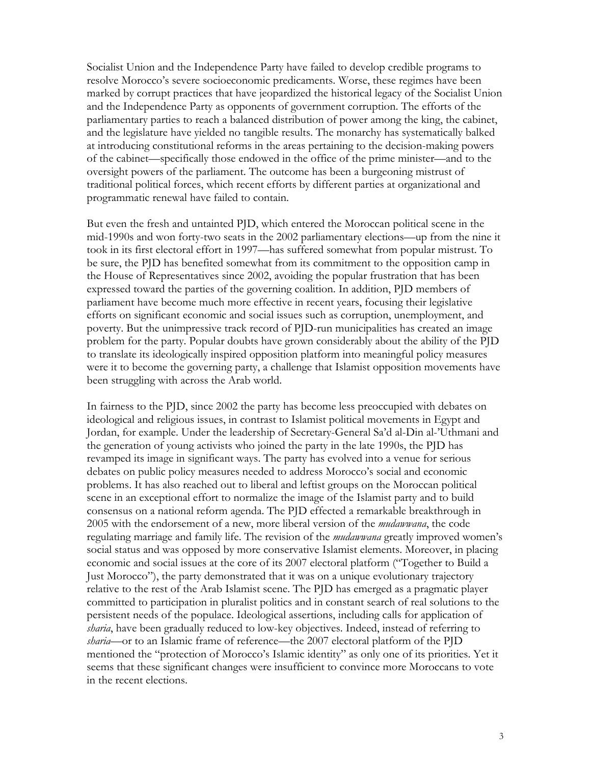Socialist Union and the Independence Party have failed to develop credible programs to resolve Morocco's severe socioeconomic predicaments. Worse, these regimes have been marked by corrupt practices that have jeopardized the historical legacy of the Socialist Union and the Independence Party as opponents of government corruption. The efforts of the parliamentary parties to reach a balanced distribution of power among the king, the cabinet, and the legislature have yielded no tangible results. The monarchy has systematically balked at introducing constitutional reforms in the areas pertaining to the decision-making powers of the cabinet—specifically those endowed in the office of the prime minister—and to the oversight powers of the parliament. The outcome has been a burgeoning mistrust of traditional political forces, which recent efforts by different parties at organizational and programmatic renewal have failed to contain.

But even the fresh and untainted PJD, which entered the Moroccan political scene in the mid-1990s and won forty-two seats in the 2002 parliamentary elections—up from the nine it took in its first electoral effort in 1997—has suffered somewhat from popular mistrust. To be sure, the PJD has benefited somewhat from its commitment to the opposition camp in the House of Representatives since 2002, avoiding the popular frustration that has been expressed toward the parties of the governing coalition. In addition, PJD members of parliament have become much more effective in recent years, focusing their legislative efforts on significant economic and social issues such as corruption, unemployment, and poverty. But the unimpressive track record of PJD-run municipalities has created an image problem for the party. Popular doubts have grown considerably about the ability of the PJD to translate its ideologically inspired opposition platform into meaningful policy measures were it to become the governing party, a challenge that Islamist opposition movements have been struggling with across the Arab world.

In fairness to the PJD, since 2002 the party has become less preoccupied with debates on ideological and religious issues, in contrast to Islamist political movements in Egypt and Jordan, for example. Under the leadership of Secretary-General Sa'd al-Din al-'Uthmani and the generation of young activists who joined the party in the late 1990s, the PJD has revamped its image in significant ways. The party has evolved into a venue for serious debates on public policy measures needed to address Morocco's social and economic problems. It has also reached out to liberal and leftist groups on the Moroccan political scene in an exceptional effort to normalize the image of the Islamist party and to build consensus on a national reform agenda. The PJD effected a remarkable breakthrough in 2005 with the endorsement of a new, more liberal version of the *mudawwana*, the code regulating marriage and family life. The revision of the *mudawwana* greatly improved women's social status and was opposed by more conservative Islamist elements. Moreover, in placing economic and social issues at the core of its 2007 electoral platform ("Together to Build a Just Morocco"), the party demonstrated that it was on a unique evolutionary trajectory relative to the rest of the Arab Islamist scene. The PJD has emerged as a pragmatic player committed to participation in pluralist politics and in constant search of real solutions to the persistent needs of the populace. Ideological assertions, including calls for application of *sharia*, have been gradually reduced to low-key objectives. Indeed, instead of referring to *sharia*—or to an Islamic frame of reference—the 2007 electoral platform of the PJD mentioned the "protection of Morocco's Islamic identity" as only one of its priorities. Yet it seems that these significant changes were insufficient to convince more Moroccans to vote in the recent elections.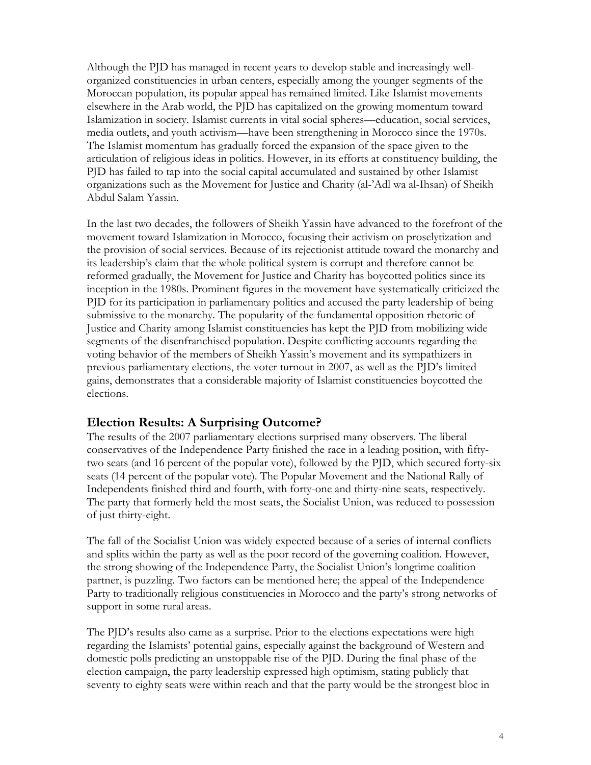Although the PJD has managed in recent years to develop stable and increasingly wellorganized constituencies in urban centers, especially among the younger segments of the Moroccan population, its popular appeal has remained limited. Like Islamist movements elsewhere in the Arab world, the PJD has capitalized on the growing momentum toward Islamization in society. Islamist currents in vital social spheres—education, social services, media outlets, and youth activism—have been strengthening in Morocco since the 1970s. The Islamist momentum has gradually forced the expansion of the space given to the articulation of religious ideas in politics. However, in its efforts at constituency building, the PJD has failed to tap into the social capital accumulated and sustained by other Islamist organizations such as the Movement for Justice and Charity (al-'Adl wa al-Ihsan) of Sheikh Abdul Salam Yassin.

In the last two decades, the followers of Sheikh Yassin have advanced to the forefront of the movement toward Islamization in Morocco, focusing their activism on proselytization and the provision of social services. Because of its rejectionist attitude toward the monarchy and its leadership's claim that the whole political system is corrupt and therefore cannot be reformed gradually, the Movement for Justice and Charity has boycotted politics since its inception in the 1980s. Prominent figures in the movement have systematically criticized the PJD for its participation in parliamentary politics and accused the party leadership of being submissive to the monarchy. The popularity of the fundamental opposition rhetoric of Justice and Charity among Islamist constituencies has kept the PJD from mobilizing wide segments of the disenfranchised population. Despite conflicting accounts regarding the voting behavior of the members of Sheikh Yassin's movement and its sympathizers in previous parliamentary elections, the voter turnout in 2007, as well as the PJD's limited gains, demonstrates that a considerable majority of Islamist constituencies boycotted the elections.

#### **Election Results: A Surprising Outcome?**

The results of the 2007 parliamentary elections surprised many observers. The liberal conservatives of the Independence Party finished the race in a leading position, with fiftytwo seats (and 16 percent of the popular vote), followed by the PJD, which secured forty-six seats (14 percent of the popular vote). The Popular Movement and the National Rally of Independents finished third and fourth, with forty-one and thirty-nine seats, respectively. The party that formerly held the most seats, the Socialist Union, was reduced to possession of just thirty-eight.

The fall of the Socialist Union was widely expected because of a series of internal conflicts and splits within the party as well as the poor record of the governing coalition. However, the strong showing of the Independence Party, the Socialist Union's longtime coalition partner, is puzzling. Two factors can be mentioned here; the appeal of the Independence Party to traditionally religious constituencies in Morocco and the party's strong networks of support in some rural areas.

The PJD's results also came as a surprise. Prior to the elections expectations were high regarding the Islamists' potential gains, especially against the background of Western and domestic polls predicting an unstoppable rise of the PJD. During the final phase of the election campaign, the party leadership expressed high optimism, stating publicly that seventy to eighty seats were within reach and that the party would be the strongest bloc in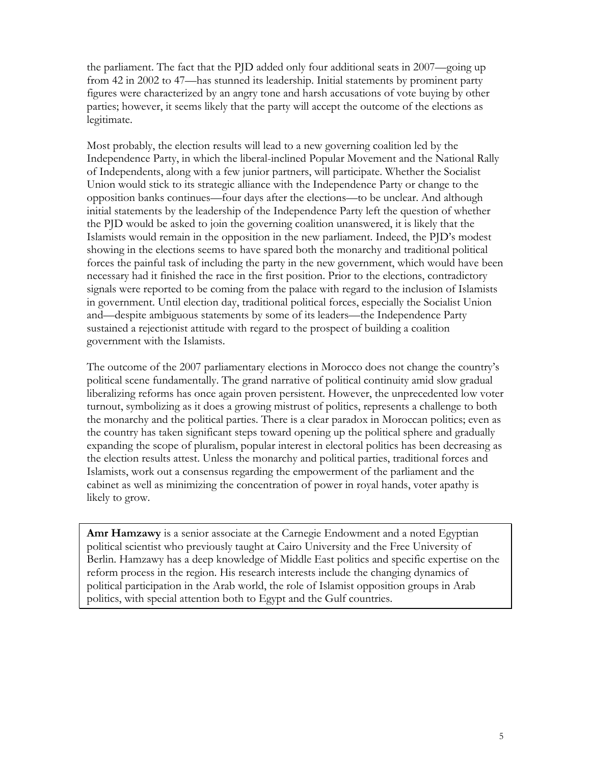the parliament. The fact that the PJD added only four additional seats in 2007—going up from 42 in 2002 to 47—has stunned its leadership. Initial statements by prominent party figures were characterized by an angry tone and harsh accusations of vote buying by other parties; however, it seems likely that the party will accept the outcome of the elections as legitimate.

Most probably, the election results will lead to a new governing coalition led by the Independence Party, in which the liberal-inclined Popular Movement and the National Rally of Independents, along with a few junior partners, will participate. Whether the Socialist Union would stick to its strategic alliance with the Independence Party or change to the opposition banks continues—four days after the elections—to be unclear. And although initial statements by the leadership of the Independence Party left the question of whether the PJD would be asked to join the governing coalition unanswered, it is likely that the Islamists would remain in the opposition in the new parliament. Indeed, the PJD's modest showing in the elections seems to have spared both the monarchy and traditional political forces the painful task of including the party in the new government, which would have been necessary had it finished the race in the first position. Prior to the elections, contradictory signals were reported to be coming from the palace with regard to the inclusion of Islamists in government. Until election day, traditional political forces, especially the Socialist Union and—despite ambiguous statements by some of its leaders—the Independence Party sustained a rejectionist attitude with regard to the prospect of building a coalition government with the Islamists.

The outcome of the 2007 parliamentary elections in Morocco does not change the country's political scene fundamentally. The grand narrative of political continuity amid slow gradual liberalizing reforms has once again proven persistent. However, the unprecedented low voter turnout, symbolizing as it does a growing mistrust of politics, represents a challenge to both the monarchy and the political parties. There is a clear paradox in Moroccan politics; even as the country has taken significant steps toward opening up the political sphere and gradually expanding the scope of pluralism, popular interest in electoral politics has been decreasing as the election results attest. Unless the monarchy and political parties, traditional forces and Islamists, work out a consensus regarding the empowerment of the parliament and the cabinet as well as minimizing the concentration of power in royal hands, voter apathy is likely to grow.

**Amr Hamzawy** is a senior associate at the Carnegie Endowment and a noted Egyptian political scientist who previously taught at Cairo University and the Free University of Berlin. Hamzawy has a deep knowledge of Middle East politics and specific expertise on the reform process in the region. His research interests include the changing dynamics of political participation in the Arab world, the role of Islamist opposition groups in Arab politics, with special attention both to Egypt and the Gulf countries.